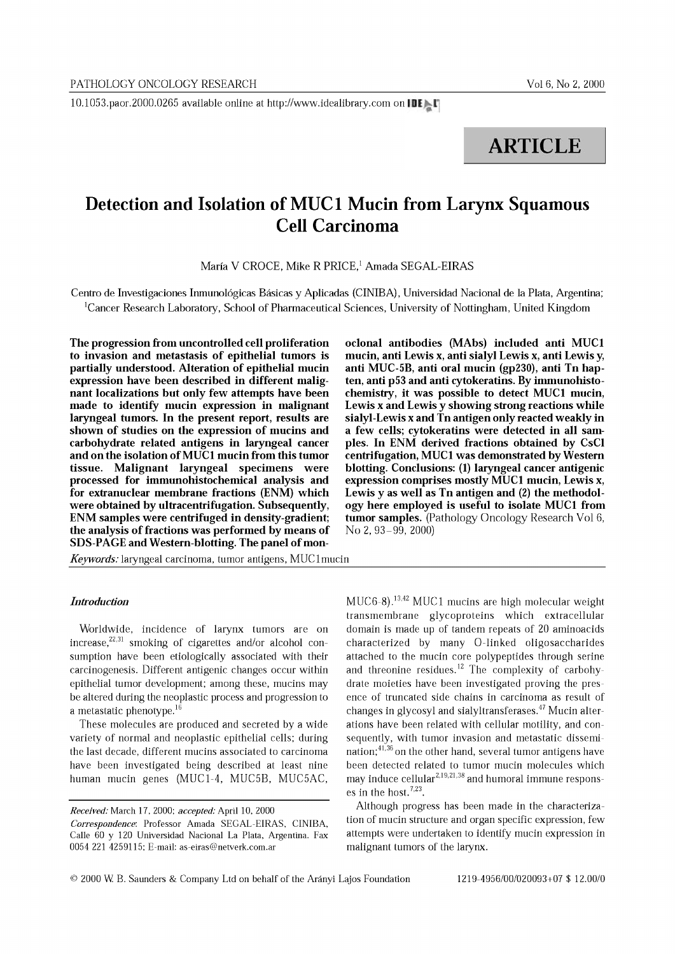10.1053.paor.2000.0265 available online at http://www.idealibrary.com on IDE

# **ARTICLE**

# **Detection and Isolation of MUC1 Mucin from Larynx Squamous Cell Carcinoma**

María V CROCE, Mike R PRICE,<sup>1</sup> Amada SEGAL-EIRAS

Centro de Investigaciones Inmunologicas Basicas y Aplicadas (CINIBA), Universidad Nacional de la Plata, Argentina; <sup>1</sup>Cancer Research Laboratory, School of Pharmaceutical Sciences, University of Nottingham, United Kingdom

The progression from uncontrolled cell proliferation to invasion and metastasis of epithelial tumors is partially understood. Alteration of epithelial mucin expression have been described in different malignant localizations but only few attempts have been made to identify mucin expression in malignant laryngeal tumors. In the present report, results are shown of studies on the expression of mucins and carbohydrate related antigens in laryngeal cancer and on the isolation ofMUCI mucin from this tumor tissue. Malignant laryngeal specimens were processed for immunohistochemical analysis and for extranuclear membrane fractions (ENM) which were obtained by ultracentrifugation. Subsequently, ENM samples were centrifuged in density-gradient; the analysis of fractions was performed by means of SDS-PAGE and Western-blotting. The panel of mon-

*Keywords:* laryngeal carcinoma, tumor antigens, MUClmucin

# *Introduction*

Worldwide, incidence of larynx tumors are on increase, $22,31$  smoking of cigarettes and/or alcohol consumption have been etiologically associated with their carcinogenesis. Different antigenic changes occur within epithelial tumor development; among these, mucins may be altered during the neoplastic process and progression to a metastatic phenotype.<sup>16</sup>

These molecules are produced and secreted by a wide variety of normal and neoplastic epithelial cells; during the last decade, different mucins associated to carcinoma have been investigated being described at least nine human mucin genes (MUCl-4, MUCSB, MUCSAC, oclonal antibodies (MAbs) included anti MUCI mucin, anti Lewis x, anti sialyl Lewis x, anti Lewis y, anti MUC-5B, anti oral mucin (gp230), anti Tn hapten, anti p53 and anti cytokeratins. By immunohistochemistry, it was possible to detect MUCI mucin, Lewis x and Lewis y showing strong reactions while sialyl-Lewis x and Tn antigen only reacted weakly in a few cells; cytokeratins were detected in all samples. In ENM derived fractions obtained by CsCI centrifugation, MUCI was demonstrated by Western blotting. Conclusions: (I) laryngeal cancer antigenic expression comprises mostly MUCI mucin, Lewis x, Lewis y as well as Tn antigen and (2) the methodology here employed is useful to isolate MUCI from tumor samples. (Pathology Oncology Research Vol 6, No 2, 93-99, 2000)

MUC6-8) .13,42 MUC 1 mucins are high molecular weight transmembrane glycoproteins which extracellular domain is made up of tandem repeats of 20 aminoacids characterized by many O-linked oligosaccharides attached to the mucin core polypeptides through serine and threonine residues.<sup>12</sup> The complexity of carbohydrate moieties have been investigated proving the presence of truncated side chains in carcinoma as result of changes in glycosyl and sialyltransferases. $47$  Mucin alterations have been related with cellular motility, and consequently, with tumor invasion and metastatic dissemination;41,36 on the other hand, several tumor antigens have been detected related to tumor mucin molecules which may induce cellular<sup>2,19,21,38</sup> and humoral immune responses in the host.<sup>7,23</sup>.

Although progress has been made in the characterization of mucin structure and organ specific expression, few attempts were undertaken to identify mucin expression in malignant tumors of the larynx.

*Received:* March 17, 2000: *accepted:* April 10, 2000 *Correspondence:* Professor Amada SEGAL-EIRAS, CINIBA, Calle 60 y 120 Universidad Nacional La Plata, Argentina. Fax 0054 221 4259115: E-mail: as-eiras@netverk.com.ar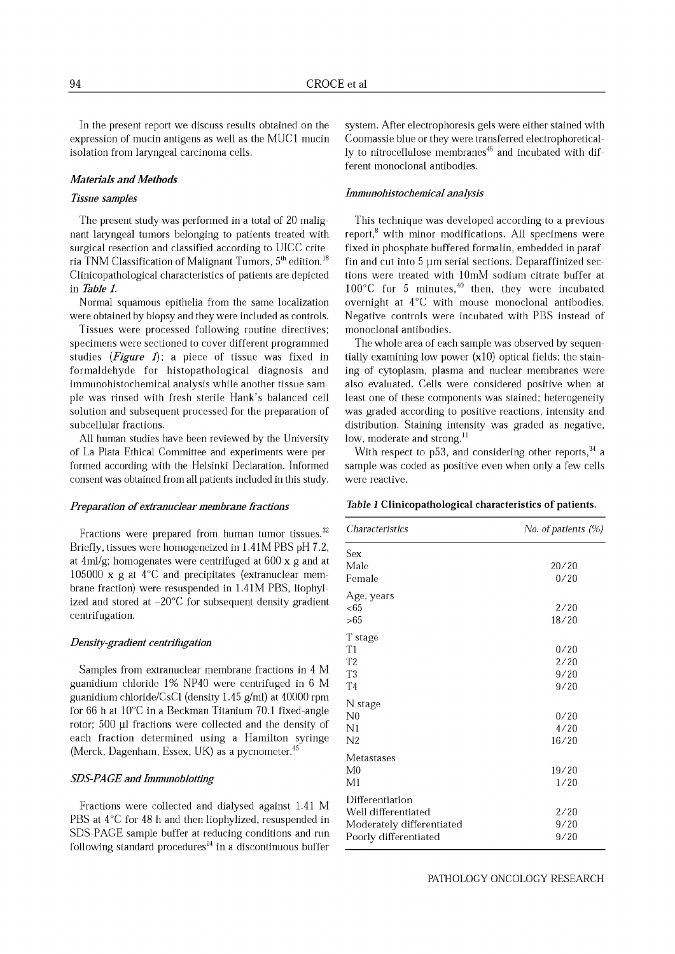In the present report we discuss results obtained on the expression of mucin antigens as well as the MUCI mucin isolation from laryngeal carcinoma cells.

### *Materials and Methods*

## *Tissue samples*

The present study was performed in a total of 20 malignant laryngeal tumors belonging to patients treated with surgical resection and classified according to UICC criteria TNM Classification of Malignant Tumors,  $5<sup>th</sup>$  edition.<sup>18</sup> Clinicopathological characteristics of patients are depicted in *Table 1.*

Normal squamous epithelia from the same localization were obtained by biopsy and they were included as controls.

Tissues were processed following routine directives; specimens were sectioned to cover different programmed studies (*Figure 1*); a piece of tissue was fixed in formaldehyde for histopathological diagnosis and immunohistochemical analysis while another tissue sample was rinsed with fresh sterile Hank's balanced cell solution and subsequent processed for the preparation of subcellular fractions.

All human studies have been reviewed by the University of La Plata Ethical Committee and experiments were performed according with the Helsinki Declaration. Informed consent was obtained from all patients included in this study.

#### *Preparation ofextranuclear membrane fractions*

Fractions were prepared from human tumor tissues.<sup>32</sup> Briefly, tissues were homogeneized in 1.41M PBS pH 7.2, at 4ml/g; homogenates were centrifuged at 600 x g and at 105000 x g at 4°C and precipitates (extranuclear membrane fraction) were resuspended in 1.41M PBS, liophylized and stored at  $-20^{\circ}$ C for subsequent density gradient centrifugation.

#### *Density-gradient centrifugation*

Samples from extranuclear membrane fractions in 4 M guanidium chloride 1% NP40 were centrifuged in 6 M guanidium chloride/CsCl (density 1.45 g/ml) at 40000 rpm for 66 h at 10°C in a Beckman Titanium 70.1 fixed-angle rotor; 500 µl fractions were collected and the density of each fraction determined using a Hamilton syringe (Merck, Dagenham, Essex, UK) as a pycnometer. $45$ 

## *SDS-PAGE and Immunoblotting*

Fractions were collected and dialysed against 1.41 M PBS at 4°C for 48 h and then liophylized, resuspended in SDS-PAGE sample buffer at reducing conditions and run following standard procedures $^{24}$  in a discontinuous buffer

system. After electrophoresis gels were either stained with Coomassie blue or they were transferred electrophoretically to nitrocellulose membranes $46$  and incubated with different monoclonal antibodies.

#### *Immunohistochemical analysis*

This technique was developed according to a previous report, $\delta$  with minor modifications. All specimens were fixed in phosphate buffered formalin, embedded in paraffin and cut into  $5 \mu m$  serial sections. Deparaffinized sections were treated with 10mM sodium citrate buffer at  $100^{\circ}$ C for 5 minutes,<sup>40</sup> then, they were incubated overnight at 4°C with mouse monoclonal antibodies. Negative controls were incubated with PBS instead of monoclonal antibodies.

The whole area of each sample was observed by sequentially examining low power  $(x10)$  optical fields; the staining of cytoplasm, plasma and nuclear membranes were also evaluated. Cells were considered positive when at least one of these components was stained; heterogeneity was graded according to positive reactions, intensity and distribution. Staining intensity was graded as negative, low, moderate and strong.<sup>11</sup>

With respect to p53, and considering other reports,  $34$  a sample was coded as positive even when only a few cells were reactive.

#### *Table 1* Clinicopathological characteristics of patients.

| <i>Characteristics</i>                                                                       | No. of patients (%)  |  |  |  |  |
|----------------------------------------------------------------------------------------------|----------------------|--|--|--|--|
| Sex                                                                                          |                      |  |  |  |  |
| Male<br>Female                                                                               | 20/20<br>0/20        |  |  |  |  |
| Age, years<br>$<\!\!65$                                                                      | 2/20                 |  |  |  |  |
| >65                                                                                          | 18/20                |  |  |  |  |
| T stage<br>T <sub>1</sub>                                                                    | 0/20                 |  |  |  |  |
| T <sub>2</sub><br>T <sub>3</sub><br>T <sub>4</sub>                                           | 2/20<br>9/20<br>9/20 |  |  |  |  |
| N stage<br>$_{\rm N0}$                                                                       | 0/20                 |  |  |  |  |
| N <sub>1</sub><br>N2                                                                         | 4/20<br>16/20        |  |  |  |  |
| Metastases<br>M <sub>0</sub><br>M1                                                           | 19/20<br>1/20        |  |  |  |  |
| Differentiation<br>Well differentiated<br>Moderately differentiated<br>Poorly differentiated | 2/20<br>9/20<br>9/20 |  |  |  |  |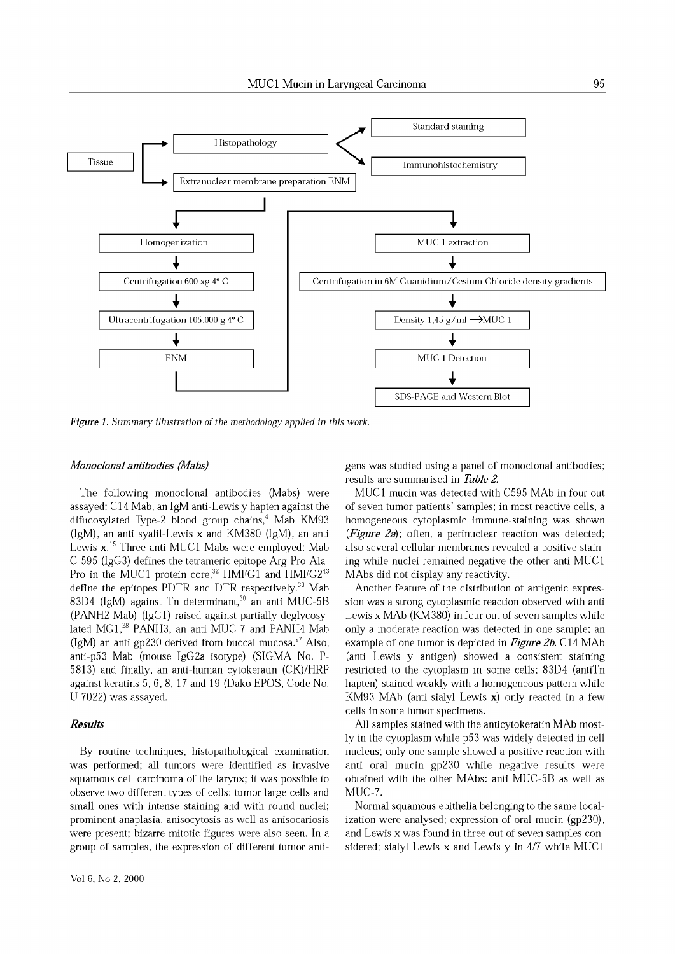

*Figure* 1. *Summary illustration* of *the methodology applied in this work.*

### *Monoclonal antibodies (Mabs)*

The following monoclonal antibodies (Mabs) were assayed: C14 Mab, an IgM anti-Lewis y hapten against the difucosylated Type-2 blood group chains,<sup>4</sup> Mab KM93 (IgM), an anti syalil-Lewis x and KM380 (IgM), an anti Lewis x.<sup>15</sup> Three anti MUC1 Mabs were employed: Mab C-595 (IgG3) defines the tetrameric epitope Arg-Pro-Ala-Pro in the MUC1 protein core,<sup>32</sup> HMFG1 and HMFG2<sup>43</sup> define the epitopes PDTR and DTR respectively.<sup>33</sup> Mab 83D4 (IgM) against Tn determinant,<sup>30</sup> an anti MUC-5B (PANH2 Mab) (IgG1) raised against partially deglycosylated MG1,<sup>28</sup> PANH3, an anti MUC-7 and PANH4 Mab (IgM) an anti gp230 derived from buccal mucosa.<sup>27</sup> Also, anti-p53 Mab (mouse IgG2a isotype) (SIGMA No. P-5813) and finally, an anti-human cytokeratin (CK)/HRP against keratins 5, 6, 8, 17 and 19 (Dako EPOS, Code No. U 7022) was assayed.

## *Results*

By routine techniques, histopathological examination was performed; all tumors were identified as invasive squamous cell carcinoma of the larynx; it was possible to observe two different types of cells: tumor large cells and small ones with intense staining and with round nuclei; prominent anaplasia, anisocytosis as well as anisocariosis were present; bizarre mitotic figures were also seen. In a group of samples, the expression of different tumor antigens was studied using a panel of monoclonal antibodies; results are summarised in *Table 2.*

MUC1 mucin was detected with C595 MAb in four out of seven tumor patients' samples; in most reactive cells, a homogeneous cytoplasmic immune-staining was shown *(Figure 2a);* often, a perinuclear reaction was detected; also several cellular membranes revealed a positive staining while nuclei remained negative the other anti-MUCI MAbs did not display any reactivity.

Another feature of the distribution of antigenic expression was a strong cytoplasmic reaction observed with anti Lewis x MAb (KM380) in four out of seven samples while only a moderate reaction was detected in one sample; an example of one tumor is depicted in *Figure 2b.* C14 MAb (anti Lewis y antigen) showed a consistent staining restricted to the cytoplasm in some cells; 83D4 (antiTn hapten) stained weakly with a homogeneous pattern while KM93 MAb (anti-sialyl Lewis x) only reacted in a few cells in some tumor specimens.

All samples stained with the anticytokeratin MAb most-1y in the cytoplasm while p53 was widely detected in cell nucleus; only one sample showed a positive reaction with anti oral mucin gp230 while negative results were obtained with the other MAbs: anti MUC-5B as well as MUC-7.

Normal squamous epithelia belonging to the same localization were analysed; expression of oral mucin (gp230), and Lewis x was found in three out of seven samples considered; sialyl Lewis x and Lewis y in 4/7 while MUCI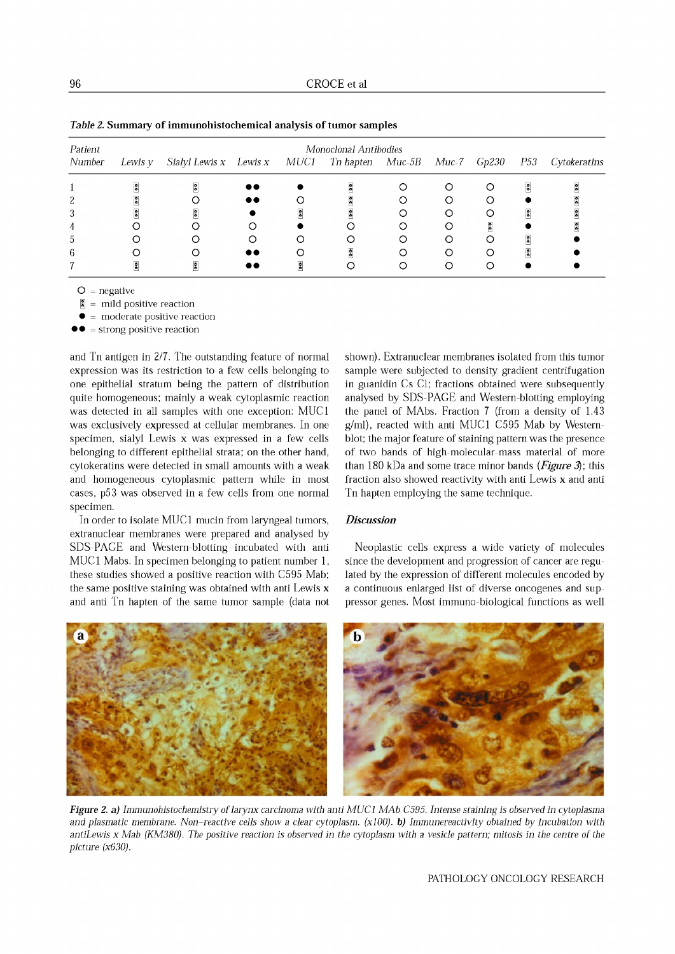| Patient | Monoclonal Antibodies |                             |                  |  |                        |   |  |       |                             |              |
|---------|-----------------------|-----------------------------|------------------|--|------------------------|---|--|-------|-----------------------------|--------------|
| Number  | Lewis y               | Sialyl Lewis x Lewis x MUC1 |                  |  | Tn hapten Muc-5B Muc-7 |   |  | Gp230 | P53                         | Cytokeratins |
|         |                       | Å                           | $\bullet\bullet$ |  | $\frac{5}{6}$          |   |  | ∩     | R                           | å            |
|         |                       |                             | $\bullet\bullet$ |  |                        |   |  |       |                             | 6            |
|         |                       |                             |                  |  |                        |   |  | Ω     | $\frac{2}{5}$               | ŝ            |
|         |                       |                             |                  |  |                        |   |  | å     |                             | ŝ            |
| b       |                       |                             |                  |  |                        |   |  |       | R                           |              |
| 6       |                       |                             | $\bullet\bullet$ |  | F                      |   |  | ∩     | $\ddot{\tilde{\mathbf{s}}}$ |              |
|         |                       | П                           |                  |  |                        | ∩ |  |       |                             |              |

*Table* 2. Summary of immunohistochemical analysis of tumor samples

 $O = negative$ 

 $\hat{\boldsymbol{\epsilon}}$  = mild positive reaction

• = moderate positive reaction

 $\bullet \bullet$  = strong positive reaction

and Tn antigen in 2/7. The outstanding feature of normal expression was its restriction to a few cells belonging to one epithelial stratum being the pattern of distribution quite homogeneous; mainly a weak cytoplasmic reaction was detected in all samples with one exception: MUC1 was exclusively expressed at cellular membranes. In one specimen, sialyl Lewis x was expressed in a few cells belonging to different epithelial strata; on the other hand, cytokeratins were detected in small amounts with a weak and homogeneous cytoplasmic pattern while in most cases, p53 was observed in a few cells from one normal specimen.

In order to isolate MUCI mucin from laryngeal tumors, extranuclear membranes were prepared and analysed by SDS-PAGE and Western-blotting incubated with anti MUCI Mabs. In specimen belonging to patient number 1, these studies showed a positive reaction with C595 Mab; the same positive staining was obtained with anti Lewis x and anti Tn hapten of the same tumor sample (data not shown). Extranuclear membranes isolated from this tumor sample were subjected to density gradient centrifugation in guanidin Cs Cl; fractions obtained were subsequently analysed by SDS-PAGE and Western-blotting employing the panel of MAbs. Fraction 7 (from a density of 1.43 g/ml), reacted with anti MUCI C595 Mab by Westernblot; the major feature of staining pattern was the presence of two bands of high-molecular-mass material of more than 180 kDa and some trace minor bands *(Figure* 3); this fraction also showed reactivity with anti Lewis x and anti Tn hapten employing the same technique.

# *Discussion*

Neoplastic cells express a wide variety of molecules since the development and progression of cancer are regulated by the expression of different molecules encoded by a continuous enlarged list of diverse oncogenes and suppressor genes. Most immuno-biological functions as well



*Figure* 2. a) *Immunohistochemistry* of*larynx carcinoma with anti MUCI MAb* C595. *Intense staining is observed in cytoplasma* and plasmatic membrane. Non-reactive cells show a clear cytoplasm. (x100). b) Immunereactivity obtained by incubation with antiLewis x Mab (KM380). The positive reaction is observed in the cytoplasm with a vesicle pattern; mitosis in the centre of the *picture (x630).*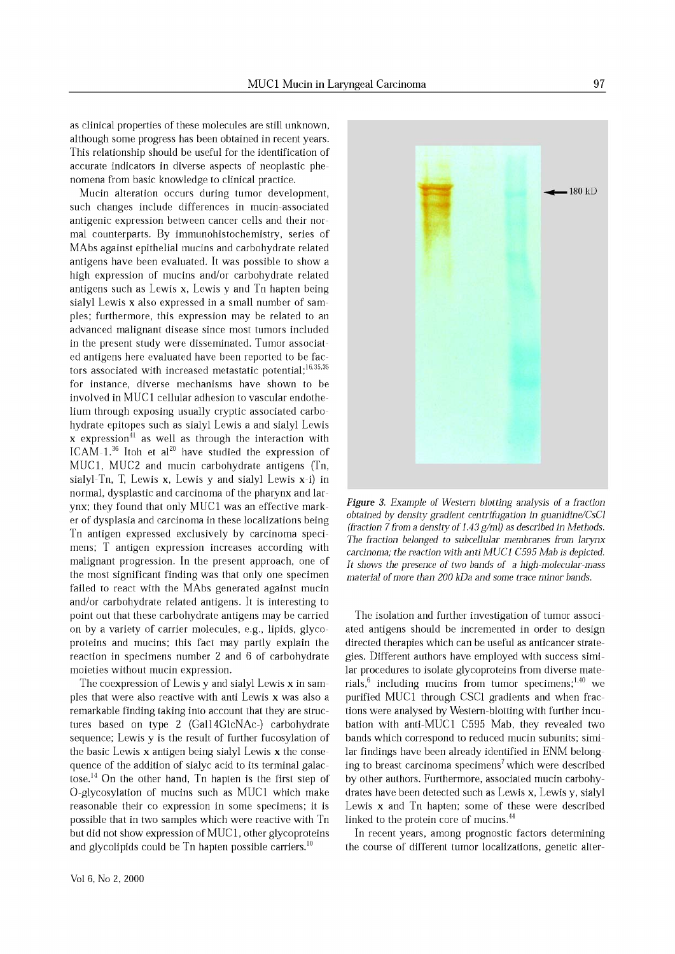as clinical properties of these molecules are still unknown, although some progress has been obtained in recent years. This relationship should be useful for the identification of accurate indicators in diverse aspects of neoplastic phenomena from basic knowledge to clinical practice.

Mucin alteration occurs during tumor development, such changes include differences in mucin-associated antigenic expression between cancer cells and their normal counterparts. By immunohistochemistry, series of MAbs against epithelial mucins and carbohydrate related antigens have been evaluated. It was possible to show a high expression of mucins and/or carbohydrate related antigens such as Lewis x, Lewis y and Tn hapten being sialyl Lewis x also expressed in a small number of samples; furthermore, this expression may be related to an advanced malignant disease since most tumors included in the present study were disseminated. Tumor associated antigens here evaluated have been reported to be factors associated with increased metastatic potential; $^{16,35,36}$ for instance, diverse mechanisms have shown to be involved in MUC1 cellular adhesion to vascular endothelium through exposing usually cryptic associated carbohydrate epitopes such as sialyl Lewis a and sialyl Lewis  $x$  expression<sup>41</sup> as well as through the interaction with ICAM-1.<sup>36</sup> Itoh et al<sup>20</sup> have studied the expression of MUCl, MUC2 and mucin carbohydrate antigens (Tn, sialyl-Tn, T, Lewis x, Lewis y and sialyl Lewis X-i) in normal, dysplastic and carcinoma of the pharynx and larynx; they found that only MUCI was an effective marker of dysplasia and carcinoma in these localizations being Tn antigen expressed exclusively by carcinoma specimens; T antigen expression increases according with malignant progression. In the present approach, one of the most significant finding was that only one specimen failed to react with the MAbs generated against mucin and/or carbohydrate related antigens. It is interesting to point out that these carbohydrate antigens may be carried on by a variety of carrier molecules, e.g., lipids, glycoproteins and mucins; this fact may partly explain the reaction in specimens number 2 and 6 of carbohydrate moieties without mucin expression.

The coexpression of Lewis y and sialyl Lewis x in samples that were also reactive with anti Lewis x was also a remarkable finding taking into account that they are structures based on type 2 (Ga114GlcNAc-) carbohydrate sequence; Lewis y is the result of further fucosylation of the basic Lewis x antigen being sialyl Lewis x the consequence of the addition of sialyc acid to its terminal galactose.<sup>14</sup> On the other hand, Tn hapten is the first step of O-glycosylation of mucins such as MUCI which make reasonable their co expression in some specimens; it is possible that in two samples which were reactive with Tn but did not show expression of MUC 1, other glycoproteins and glycolipids could be  $Tn$  hapten possible carriers.<sup>10</sup>



The isolation and further investigation of tumor associated antigens should be incremented in order to design directed therapies which can be useful as anticancer strategies. Different authors have employed with success similar procedures to isolate glycoproteins from diverse materials, $6$  including mucins from tumor specimens;<sup>1,40</sup> we purified MUCI through CSCI gradients and when fractions were analysed by Western-blotting with further incubation with anti-MUCI C595 Mab, they revealed two bands which correspond to reduced mucin subunits; similar findings have been already identified in ENM belonging to breast carcinoma specimens<sup>7</sup> which were described by other authors. Furthermore, associated mucin carbohydrates have been detected such as Lewis x, Lewis y, sialyl Lewis x and Tn hapten; some of these were described linked to the protein core of mucins.<sup>44</sup>

In recent years, among prognostic factors determining the course of different tumor localizations, genetic alter-

180 kD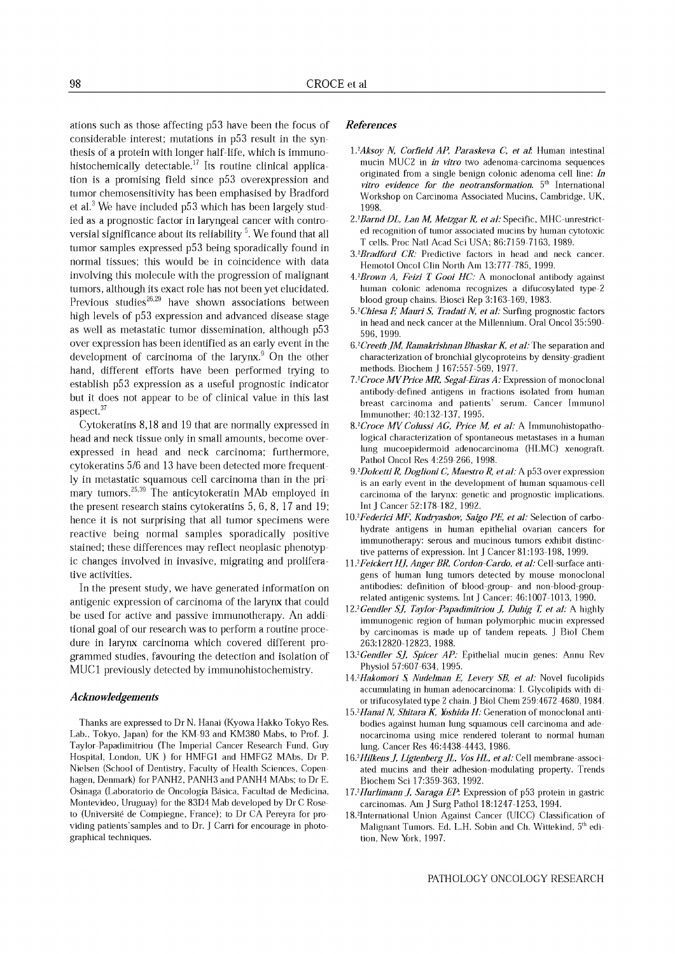ations such as those affecting p53 have been the focus of considerable interest; mutations in p53 result in the synthesis of a protein with longer half-life, which is immunohistochemically detectable.<sup>17</sup> Its routine clinical application is a promising field since p53 overexpression and tumor chemosensitivity has been emphasised by Bradford et al.<sup>3</sup> We have included  $p53$  which has been largely studied as a prognostic factor in laryngeal cancer with controversial significance about its reliability  $5$ . We found that all tumor samples expressed p53 being sporadically found in normal tissues; this would be in coincidence with data involving this molecule with the progression of malignant tumors, although its exact role has not been yet elucidated. Previous studies $^{26,29}$  have shown associations between high levels of p53 expression and advanced disease stage as well as metastatic tumor dissemination, although p53 over expression has been identified as an early event in the development of carcinoma of the larynx.<sup>9</sup> On the other hand, different efforts have been performed trying to establish p53 expression as a useful prognostic indicator but it does not appear to be of clinical value in this last aspect. <sup>37</sup>

Cytokeratins 8,18 and 19 that are normally expressed in head and neck tissue only in small amounts, become overexpressed in head and neck carcinoma; furthermore, cytokeratins 5/6 and 13 have been detected more frequently in metastatic squamous cell carcinoma than in the primary tumors.<sup>25,39</sup> The anticytokeratin MAb employed in the present research stains cytokeratins 5, 6, 8, 17 and 19; hence it is not surprising that all tumor specimens were reactive being normal samples sporadically positive stained; these differences may reflect neoplasic phenotypic changes involved in invasive, migrating and proliferative activities.

In the present study, we have generated information on antigenic expression of carcinoma of the larynx that could be used for active and passive immunotherapy. An additional goal of our research was to perform a routine procedure in larynx carcinoma which covered different programmed studies, favouring the detection and isolation of MUCI previously detected by immunohistochemistry.

## *Acknowledgements*

Thanks are expressed to Dr N. Hanai (Kyowa Hakko Tokyo Res. Lab., Tokyo, Japan) for the KM-93 and KM380 Mabs, to Prof. ]. Taylor-Papadimitriou (The Imperial Cancer Research Fund, Guy Hospital, London, UK) for HMFGI and HMFG2 MAbs, Dr P. Nielsen (School of Dentistry, Faculty of Health Sciences, Copenhagen, Denmark) for PANH2, PANH3 and PANH4 MAbs; to Dr E. Osinaga (Laboratorio de Oncologia Basica, Facultad de Medicina, Montevideo, Uruguay) for the 83D4 Mab developed by Dr C Roseto (Universite de Compiegne, France); to Dr CA Pereyra for providing patients'samples and to Dr. J Carri for encourage in photographical techniques.

## *References*

- *1.2Aksoy N, Corfield Ap, Paraskeva* C, *et a1.* Human intestinal mucin MUC2 in *in vitro* two adenoma-carcinoma sequences originated from a single benign colonic adenoma cell line: *In vitro evidence for the neotransformation.* 5th International Workshop on Carcinoma Associated Mucins, Cambridge, UK, 1998.
- *2.2Barnd DI, Lan M, Metzgar R, et al:* Specific, MHC-unrestricted recognition of tumor associated mucins by human cytotoxic T cells. Proc Nat! Acad Sci USA; 86:7159-7163,1989.
- *3.2 Bradford CR:* Predictive factors in head and neck cancer. Hemotol Oncol Clin North Am 13:777-785, 1999.
- *4.2 Brown A, Feizi* r *Gooi HC:* <sup>A</sup> monoclonal antibody against human colonic adenoma recognizes a difucosylated type-2 blood group chains. Biosci Rep 3:163-169,1983.
- *5.2Chiesa* F, *Mauri* S, *Tradati N, et al:* Surfing prognostic factors in head and neck cancer at the Millennium. Oral OncoI35:590- 596, 1999.
- *6.2Creeth JM, Ramakrishnan BhaskarK, et al:* The separation and characterization of bronchial glycoproteins by density-gradient methods. Biochem J 167:557-569, 1977.
- *7.2Croce MVPrice MR, Segal-Eiras A:* Expression of monoclonal antibody-defined antigens in fractions isolated from human breast carcinoma and patients' serum. Cancer Immunol Immunother; 40:132-137, 1995.
- *8.2Croce MV Colussi AG, Price M, et al:* A Immunohistopathological characterization of spontaneous metastases in a human lung mucoepidermoid adenocarcinoma (HLMC) xenograft. Pathol Oncol Res 4:259-266, 1998.
- *9.2 Dolcetti R, Doglioni* C, *Maestro R, et al:* A p53 over expression is an early event in the development of human squamous-cell carcinoma of the larynx: genetic and prognostic implications. Int J Cancer 52:178-182,1992.
- *1O.2Federicj MF, Kudryashov, Saigo PE, et al:* Selection of carbohydrate antigens in human epithelial ovarian cancers for immunotherapy: serous and mucinous tumors exhibit distinctive patterns of expression. Int J Cancer 81:193-198, 1999.
- I *J.2Feickert Hf, Anger BR, Cordon-Cardo, et al:* Cell-surface antigens of human lung tumors detected by mouse monoclonal antibodies: definition of blood-group- and non-blood-grouprelated antigenic systems. Int J Cancer: 46:1007-1013, 1990.
- I 2.2 *Gendler Sf, Taylor-Papadimitriou f, Duhig T, et al:* A highly immunogenic region of human polymorphic mucin expressed by carcinomas is made up of tandem repeats. J Bioi Chern 263:12820-12823,1988.
- *13.2Gendler Sf, Spicer AP:* Epithelial mucin genes: Annu Rev Physiol 57:607-634, 1995.
- *14.2 Hakomori* S; *Nudelman E, Levery SB, et al:* Novel fucolipids accumulating in human adenocarcinoma: I. Glycolipids with dior trifucosylated type 2 chain, J Bioi Chern 259:4672-4680,1984,
- 15.<sup>2</sup> Hanai N, Shitara K, Yoshida H: Generation of monoclonal antibodies against human lung squamous cell carcinoma and adenocarcinoma using mice rendered tolerant to normal human lung. Cancer Res 46:4438-4443, 1986.
- *16.2Hilkensf, LigtenbergJI, Vos HI, et al:* Cell membrane-associated mucins and their adhesion-modulating property. Trends Biochem Sci 17:359-363, 1992.
- *17.2 Hurlimann f, Saraga EP* Expression of p53 protein in gastric carcinomas. Am J Surg PathoI18:1247-1253, 1994.
- 18.2 International Union Against Cancer (UICC) Classification of Malignant Tumors. Ed. L.H. Sobin and Ch. Wittekind, 5<sup>th</sup> edition, New York, 1997.